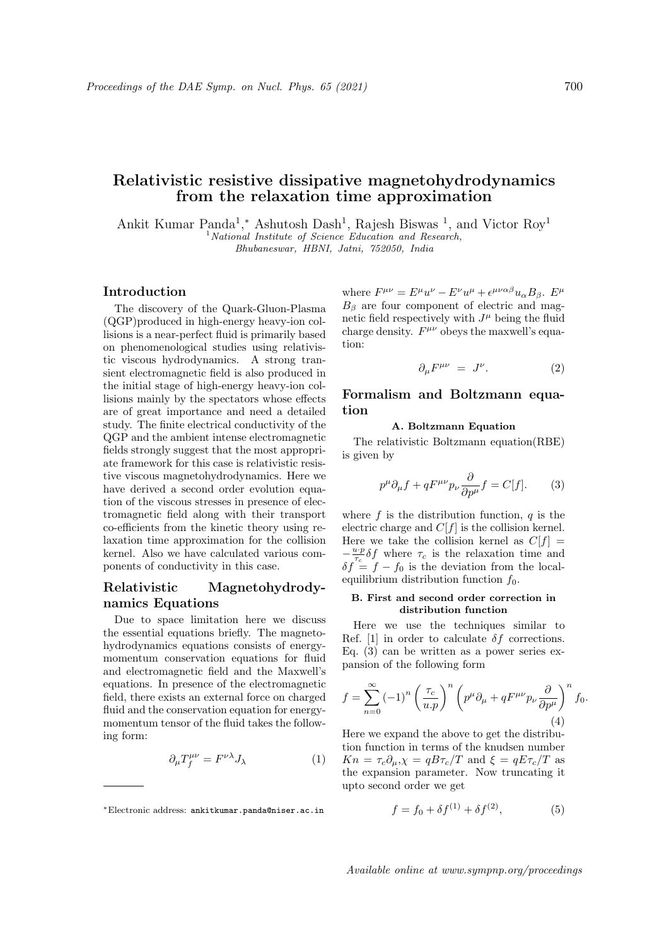# Relativistic resistive dissipative magnetohydrodynamics from the relaxation time approximation

Ankit Kumar Panda<sup>1</sup>,\* Ashutosh Dash<sup>1</sup>, Rajesh Biswas<sup>1</sup>, and Victor Roy<sup>1</sup>  $1$ National Institute of Science Education and Research, Bhubaneswar, HBNI, Jatni, 752050, India

## Introduction

The discovery of the Quark-Gluon-Plasma (QGP)produced in high-energy heavy-ion collisions is a near-perfect fluid is primarily based on phenomenological studies using relativistic viscous hydrodynamics. A strong transient electromagnetic field is also produced in the initial stage of high-energy heavy-ion collisions mainly by the spectators whose effects are of great importance and need a detailed study. The finite electrical conductivity of the QGP and the ambient intense electromagnetic fields strongly suggest that the most appropriate framework for this case is relativistic resistive viscous magnetohydrodynamics. Here we have derived a second order evolution equation of the viscous stresses in presence of electromagnetic field along with their transport co-efficients from the kinetic theory using relaxation time approximation for the collision kernel. Also we have calculated various components of conductivity in this case.

# Relativistic Magnetohydrodynamics Equations

Due to space limitation here we discuss the essential equations briefly. The magnetohydrodynamics equations consists of energymomentum conservation equations for fluid and electromagnetic field and the Maxwell's equations. In presence of the electromagnetic field, there exists an external force on charged fluid and the conservation equation for energymomentum tensor of the fluid takes the following form:

$$
\partial_{\mu}T_{f}^{\mu\nu} = F^{\nu\lambda}J_{\lambda} \tag{1}
$$

where  $F^{\mu\nu} = E^{\mu}u^{\nu} - E^{\nu}u^{\mu} + \epsilon^{\mu\nu\alpha\beta}u_{\alpha}B_{\beta}$ .  $E^{\mu}$  $B_\beta$  are four component of electric and magnetic field respectively with  $J^{\mu}$  being the fluid charge density.  $F^{\mu\nu}$  obeys the maxwell's equation:

$$
\partial_{\mu}F^{\mu\nu} = J^{\nu}.
$$
 (2)

# Formalism and Boltzmann equation

### A. Boltzmann Equation

The relativistic Boltzmann equation(RBE) is given by

$$
p^{\mu}\partial_{\mu}f + qF^{\mu\nu}p_{\nu}\frac{\partial}{\partial p^{\mu}}f = C[f].\tag{3}
$$

where  $f$  is the distribution function,  $q$  is the electric charge and  $C[f]$  is the collision kernel. Here we take the collision kernel as  $C[f] =$  $-\frac{u \cdot p}{\tau_c} \delta f$  where  $\tau_c$  is the relaxation time and  $\delta f = f - f_0$  is the deviation from the localequilibrium distribution function  $f_0$ .

### B. First and second order correction in distribution function

Here we use the techniques similar to Ref. [1] in order to calculate  $\delta f$  corrections. Eq. (3) can be written as a power series expansion of the following form

$$
f = \sum_{n=0}^{\infty} (-1)^n \left(\frac{\tau_c}{u.p}\right)^n \left(p^{\mu} \partial_{\mu} + qF^{\mu\nu} p_{\nu} \frac{\partial}{\partial p^{\mu}}\right)^n f_0.
$$
\n(4)

Here we expand the above to get the distribution function in terms of the knudsen number  $Kn = \tau_c \partial_\mu, \chi = qB\tau_c/T$  and  $\xi = qE\tau_c/T$  as the expansion parameter. Now truncating it upto second order we get

$$
f = f_0 + \delta f^{(1)} + \delta f^{(2)},
$$
 (5)

<sup>∗</sup>Electronic address: ankitkumar.panda@niser.ac.in